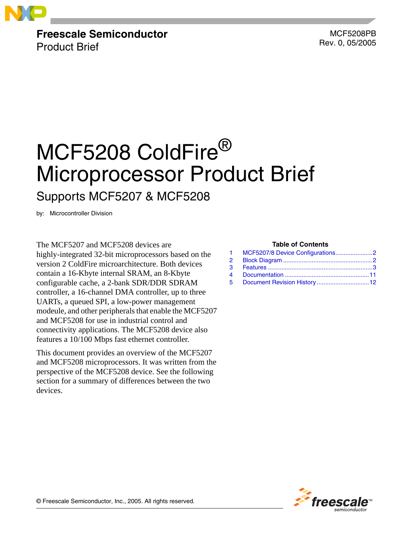

### **Freescale Semiconductor**

Product Brief

MCF5208PB Rev. 0, 05/2005

# MCF5208 ColdFire® Microprocessor Product Brief

#### Supports MCF5207 & MCF5208

by: Microcontroller Division

The MCF5207 and MCF5208 devices are **Table of Contents** highly-integrated 32-bit microprocessors based on the version 2 ColdFire microarchitecture. Both devices contain a 16-Kbyte internal SRAM, an 8-Kbyte configurable cache, a 2-bank SDR/DDR SDRAM controller, a 16-channel DMA controller, up to three UARTs, a queued SPI, a low-power management modeule, and other peripherals that enable the MCF5207 and MCF5208 for use in industrial control and connectivity applications. The MCF5208 device also features a 10/100 Mbps fast ethernet controller.

This document provides an overview of the MCF5207 and MCF5208 microprocessors. It was written from the perspective of the MCF5208 device. See the following section for a summary of differences between the two devices.

|                | 1 MCF5207/8 Device Configurations2 |  |
|----------------|------------------------------------|--|
| $\mathcal{P}$  |                                    |  |
|                |                                    |  |
| $\overline{4}$ |                                    |  |
| -5             |                                    |  |

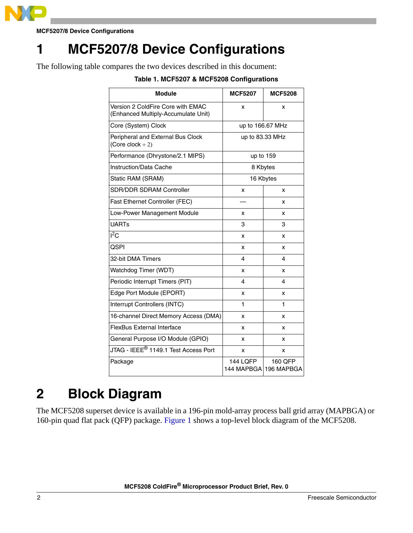

**MCF5207/8 Device Configurations**

Γ

### <span id="page-1-0"></span>**1 MCF5207/8 Device Configurations**

The following table compares the two devices described in this document:

| Table 1. MCF5207 & MCF5208 Configurations |                |                |  |
|-------------------------------------------|----------------|----------------|--|
| <b>Module</b>                             | <b>MCF5207</b> | <b>MCF5208</b> |  |

| Module                                                                   | <b>MCF5207</b>   | <b>MCF5208</b>                   |
|--------------------------------------------------------------------------|------------------|----------------------------------|
| Version 2 ColdFire Core with EMAC<br>(Enhanced Multiply-Accumulate Unit) | x                | x                                |
| Core (System) Clock                                                      | up to 166.67 MHz |                                  |
| Peripheral and External Bus Clock<br>(Core clock $\div 2$ )              | up to 83.33 MHz  |                                  |
| Performance (Dhrystone/2.1 MIPS)                                         | up to $159$      |                                  |
| Instruction/Data Cache                                                   | 8 Kbytes         |                                  |
| Static RAM (SRAM)                                                        | 16 Kbytes        |                                  |
| <b>SDR/DDR SDRAM Controller</b>                                          | x                | x                                |
| Fast Ethernet Controller (FEC)                                           |                  | x                                |
| Low-Power Management Module                                              | x                | x                                |
| <b>UARTs</b>                                                             | 3                | 3                                |
| $\overline{1^2C}$                                                        | x                | x                                |
| <b>QSPI</b>                                                              | x                | x                                |
| 32-bit DMA Timers                                                        | 4                | 4                                |
| Watchdog Timer (WDT)                                                     | x                | x                                |
| Periodic Interrupt Timers (PIT)                                          | 4                | 4                                |
| Edge Port Module (EPORT)                                                 | x                | x                                |
| Interrupt Controllers (INTC)                                             | 1                | 1                                |
| 16-channel Direct Memory Access (DMA)                                    | x                | x                                |
| <b>FlexBus External Interface</b>                                        | x                | x                                |
| General Purpose I/O Module (GPIO)                                        | x                | x                                |
| JTAG - IEEE <sup>®</sup> 1149.1 Test Access Port                         | x                | x                                |
| Package                                                                  | 144 LQFP         | 160 QFP<br>144 MAPBGA 196 MAPBGA |

### <span id="page-1-1"></span>**2 Block Diagram**

The MCF5208 superset device is available in a 196-pin mold-array process ball grid array (MAPBGA) or 160-pin quad flat pack (QFP) package. [Figure 1](#page-2-1) shows a top-level block diagram of the MCF5208.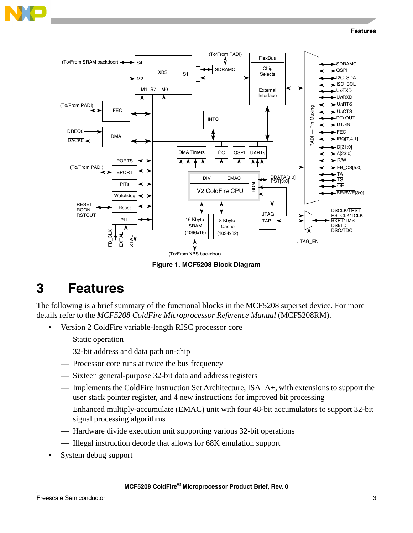



**Figure 1. MCF5208 Block Diagram**

#### <span id="page-2-1"></span><span id="page-2-0"></span>**3 Features**

The following is a brief summary of the functional blocks in the MCF5208 superset device. For more details refer to the *MCF5208 ColdFire Microprocessor Reference Manual* (MCF5208RM).

- Version 2 ColdFire variable-length RISC processor core
	- Static operation
	- 32-bit address and data path on-chip
	- Processor core runs at twice the bus frequency
	- Sixteen general-purpose 32-bit data and address registers
	- Implements the ColdFire Instruction Set Architecture, ISA\_A+, with extensions to support the user stack pointer register, and 4 new instructions for improved bit processing
	- Enhanced multiply-accumulate (EMAC) unit with four 48-bit accumulators to support 32-bit signal processing algorithms
	- Hardware divide execution unit supporting various 32-bit operations
	- Illegal instruction decode that allows for 68K emulation support
- System debug support

#### **MCF5208 ColdFire® Microprocessor Product Brief, Rev. 0**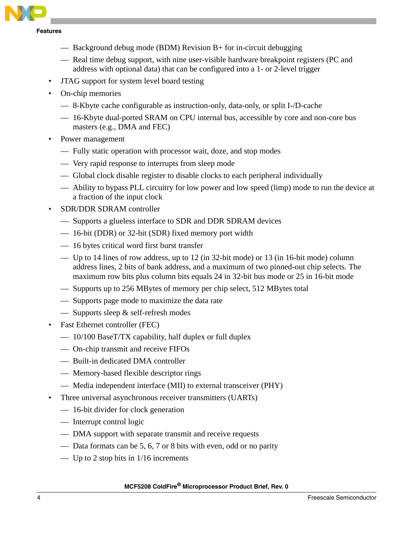

- Background debug mode (BDM) Revision B+ for in-circuit debugging
- Real time debug support, with nine user-visible hardware breakpoint registers (PC and address with optional data) that can be configured into a 1- or 2-level trigger
- JTAG support for system level board testing
- On-chip memories
	- 8-Kbyte cache configurable as instruction-only, data-only, or split I-/D-cache
	- 16-Kbyte dual-ported SRAM on CPU internal bus, accessible by core and non-core bus masters (e.g., DMA and FEC)
- Power management
	- Fully static operation with processor wait, doze, and stop modes
	- Very rapid response to interrupts from sleep mode
	- Global clock disable register to disable clocks to each peripheral individually
	- Ability to bypass PLL circuitry for low power and low speed (limp) mode to run the device at a fraction of the input clock
- SDR/DDR SDRAM controller
	- Supports a glueless interface to SDR and DDR SDRAM devices
	- 16-bit (DDR) or 32-bit (SDR) fixed memory port width
	- 16 bytes critical word first burst transfer
	- Up to 14 lines of row address, up to 12 (in 32-bit mode) or 13 (in 16-bit mode) column address lines, 2 bits of bank address, and a maximum of two pinned-out chip selects. The maximum row bits plus column bits equals 24 in 32-bit bus mode or 25 in 16-bit mode
	- Supports up to 256 MBytes of memory per chip select, 512 MBytes total
	- Supports page mode to maximize the data rate
	- Supports sleep  $&$  self-refresh modes
- Fast Ethernet controller (FEC)
	- 10/100 BaseT/TX capability, half duplex or full duplex
	- On-chip transmit and receive FIFOs
	- Built-in dedicated DMA controller
	- Memory-based flexible descriptor rings
	- Media independent interface (MII) to external transceiver (PHY)
- Three universal asynchronous receiver transmitters (UARTs)
	- 16-bit divider for clock generation
	- Interrupt control logic
	- DMA support with separate transmit and receive requests
	- Data formats can be 5, 6, 7 or 8 bits with even, odd or no parity
	- Up to 2 stop bits in 1/16 increments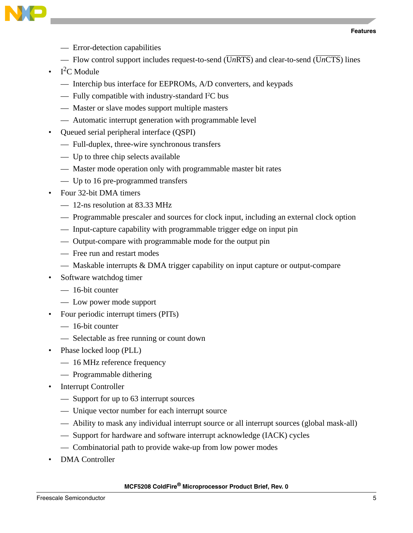

- Error-detection capabilities
- Flow control support includes request-to-send  $(\overline{UnRTS})$  and clear-to-send  $(\overline{UnCTS})$  lines
- $I^2C$  Module
	- Interchip bus interface for EEPROMs, A/D converters, and keypads
	- $-$  Fully compatible with industry-standard I<sup>2</sup>C bus
	- Master or slave modes support multiple masters
	- Automatic interrupt generation with programmable level
- Queued serial peripheral interface (QSPI)
	- Full-duplex, three-wire synchronous transfers
	- Up to three chip selects available
	- Master mode operation only with programmable master bit rates
	- Up to 16 pre-programmed transfers
- Four 32-bit DMA timers
	- $-12$ -ns resolution at 83.33 MHz
	- Programmable prescaler and sources for clock input, including an external clock option
	- Input-capture capability with programmable trigger edge on input pin
	- Output-compare with programmable mode for the output pin
	- Free run and restart modes
	- Maskable interrupts  $&$  DMA trigger capability on input capture or output-compare
- Software watchdog timer
	- 16-bit counter
	- Low power mode support
- Four periodic interrupt timers (PITs)
	- 16-bit counter
	- Selectable as free running or count down
- Phase locked loop (PLL)
	- 16 MHz reference frequency
	- Programmable dithering
- **Interrupt Controller** 
	- Support for up to 63 interrupt sources
	- Unique vector number for each interrupt source
	- Ability to mask any individual interrupt source or all interrupt sources (global mask-all)
	- Support for hardware and software interrupt acknowledge (IACK) cycles
	- Combinatorial path to provide wake-up from low power modes
- DMA Controller

**MCF5208 ColdFire® Microprocessor Product Brief, Rev. 0**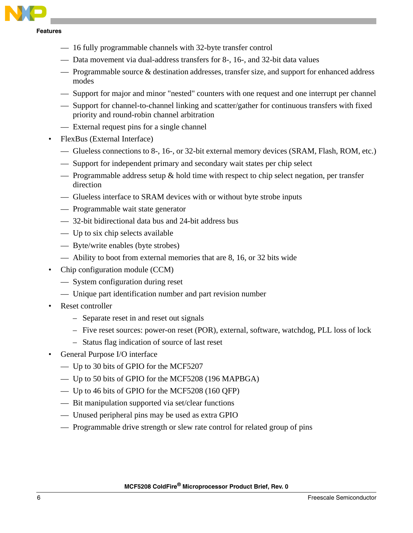

- 16 fully programmable channels with 32-byte transfer control
- Data movement via dual-address transfers for 8-, 16-, and 32-bit data values
- Programmable source & destination addresses, transfer size, and support for enhanced address modes
- Support for major and minor "nested" counters with one request and one interrupt per channel
- Support for channel-to-channel linking and scatter/gather for continuous transfers with fixed priority and round-robin channel arbitration
- External request pins for a single channel
- FlexBus (External Interface)
	- Glueless connections to 8-, 16-, or 32-bit external memory devices (SRAM, Flash, ROM, etc.)
	- Support for independent primary and secondary wait states per chip select
	- Programmable address setup  $\&$  hold time with respect to chip select negation, per transfer direction
	- Glueless interface to SRAM devices with or without byte strobe inputs
	- Programmable wait state generator
	- 32-bit bidirectional data bus and 24-bit address bus
	- Up to six chip selects available
	- Byte/write enables (byte strobes)
	- Ability to boot from external memories that are 8, 16, or 32 bits wide
- Chip configuration module (CCM)
	- System configuration during reset
	- Unique part identification number and part revision number
- Reset controller
	- Separate reset in and reset out signals
	- Five reset sources: power-on reset (POR), external, software, watchdog, PLL loss of lock
	- Status flag indication of source of last reset
- General Purpose I/O interface
	- Up to 30 bits of GPIO for the MCF5207
	- Up to 50 bits of GPIO for the MCF5208 (196 MAPBGA)
	- Up to 46 bits of GPIO for the MCF5208 (160 QFP)
	- Bit manipulation supported via set/clear functions
	- Unused peripheral pins may be used as extra GPIO
	- Programmable drive strength or slew rate control for related group of pins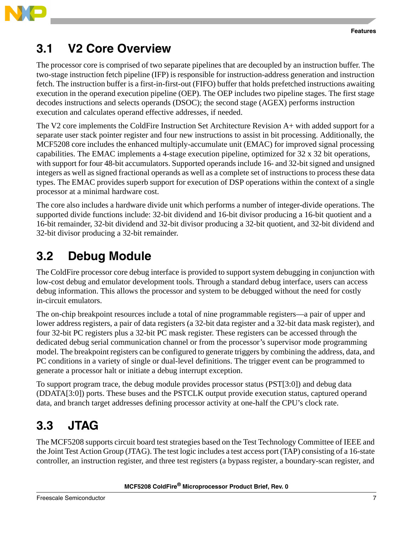

#### **3.1 V2 Core Overview**

The processor core is comprised of two separate pipelines that are decoupled by an instruction buffer. The two-stage instruction fetch pipeline (IFP) is responsible for instruction-address generation and instruction fetch. The instruction buffer is a first-in-first-out (FIFO) buffer that holds prefetched instructions awaiting execution in the operand execution pipeline (OEP). The OEP includes two pipeline stages. The first stage decodes instructions and selects operands (DSOC); the second stage (AGEX) performs instruction execution and calculates operand effective addresses, if needed.

The V2 core implements the ColdFire Instruction Set Architecture Revision A+ with added support for a separate user stack pointer register and four new instructions to assist in bit processing. Additionally, the MCF5208 core includes the enhanced multiply-accumulate unit (EMAC) for improved signal processing capabilities. The EMAC implements a 4-stage execution pipeline, optimized for 32 x 32 bit operations, with support for four 48-bit accumulators. Supported operands include 16- and 32-bit signed and unsigned integers as well as signed fractional operands as well as a complete set of instructions to process these data types. The EMAC provides superb support for execution of DSP operations within the context of a single processor at a minimal hardware cost.

The core also includes a hardware divide unit which performs a number of integer-divide operations. The supported divide functions include: 32-bit dividend and 16-bit divisor producing a 16-bit quotient and a 16-bit remainder, 32-bit dividend and 32-bit divisor producing a 32-bit quotient, and 32-bit dividend and 32-bit divisor producing a 32-bit remainder.

### **3.2 Debug Module**

The ColdFire processor core debug interface is provided to support system debugging in conjunction with low-cost debug and emulator development tools. Through a standard debug interface, users can access debug information. This allows the processor and system to be debugged without the need for costly in-circuit emulators.

The on-chip breakpoint resources include a total of nine programmable registers—a pair of upper and lower address registers, a pair of data registers (a 32-bit data register and a 32-bit data mask register), and four 32-bit PC registers plus a 32-bit PC mask register. These registers can be accessed through the dedicated debug serial communication channel or from the processor's supervisor mode programming model. The breakpoint registers can be configured to generate triggers by combining the address, data, and PC conditions in a variety of single or dual-level definitions. The trigger event can be programmed to generate a processor halt or initiate a debug interrupt exception.

To support program trace, the debug module provides processor status (PST[3:0]) and debug data (DDATA[3:0]) ports. These buses and the PSTCLK output provide execution status, captured operand data, and branch target addresses defining processor activity at one-half the CPU's clock rate.

### **3.3 JTAG**

The MCF5208 supports circuit board test strategies based on the Test Technology Committee of IEEE and the Joint Test Action Group (JTAG). The test logic includes a test access port (TAP) consisting of a 16-state controller, an instruction register, and three test registers (a bypass register, a boundary-scan register, and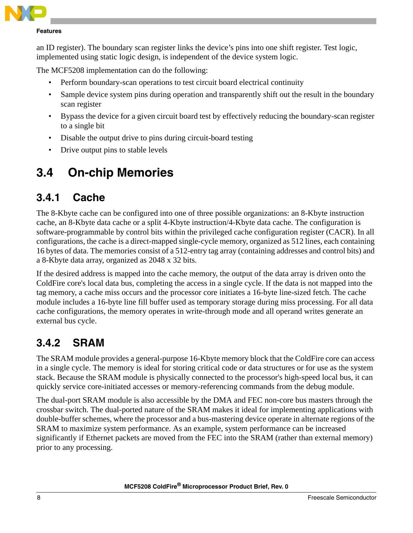

an ID register). The boundary scan register links the device's pins into one shift register. Test logic, implemented using static logic design, is independent of the device system logic.

The MCF5208 implementation can do the following:

- Perform boundary-scan operations to test circuit board electrical continuity
- Sample device system pins during operation and transparently shift out the result in the boundary scan register
- Bypass the device for a given circuit board test by effectively reducing the boundary-scan register to a single bit
- Disable the output drive to pins during circuit-board testing
- Drive output pins to stable levels

#### **3.4 On-chip Memories**

#### **3.4.1 Cache**

The 8-Kbyte cache can be configured into one of three possible organizations: an 8-Kbyte instruction cache, an 8-Kbyte data cache or a split 4-Kbyte instruction/4-Kbyte data cache. The configuration is software-programmable by control bits within the privileged cache configuration register (CACR). In all configurations, the cache is a direct-mapped single-cycle memory, organized as 512 lines, each containing 16 bytes of data. The memories consist of a 512-entry tag array (containing addresses and control bits) and a 8-Kbyte data array, organized as 2048 x 32 bits.

If the desired address is mapped into the cache memory, the output of the data array is driven onto the ColdFire core's local data bus, completing the access in a single cycle. If the data is not mapped into the tag memory, a cache miss occurs and the processor core initiates a 16-byte line-sized fetch. The cache module includes a 16-byte line fill buffer used as temporary storage during miss processing. For all data cache configurations, the memory operates in write-through mode and all operand writes generate an external bus cycle.

#### **3.4.2 SRAM**

The SRAM module provides a general-purpose 16-Kbyte memory block that the ColdFire core can access in a single cycle. The memory is ideal for storing critical code or data structures or for use as the system stack. Because the SRAM module is physically connected to the processor's high-speed local bus, it can quickly service core-initiated accesses or memory-referencing commands from the debug module.

The dual-port SRAM module is also accessible by the DMA and FEC non-core bus masters through the crossbar switch. The dual-ported nature of the SRAM makes it ideal for implementing applications with double-buffer schemes, where the processor and a bus-mastering device operate in alternate regions of the SRAM to maximize system performance. As an example, system performance can be increased significantly if Ethernet packets are moved from the FEC into the SRAM (rather than external memory) prior to any processing.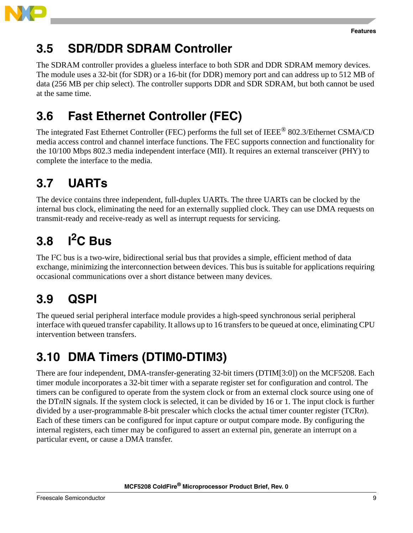

#### **3.5 SDR/DDR SDRAM Controller**

The SDRAM controller provides a glueless interface to both SDR and DDR SDRAM memory devices. The module uses a 32-bit (for SDR) or a 16-bit (for DDR) memory port and can address up to 512 MB of data (256 MB per chip select). The controller supports DDR and SDR SDRAM, but both cannot be used at the same time.

#### **3.6 Fast Ethernet Controller (FEC)**

The integrated Fast Ethernet Controller (FEC) performs the full set of IEEE® 802.3/Ethernet CSMA/CD media access control and channel interface functions. The FEC supports connection and functionality for the 10/100 Mbps 802.3 media independent interface (MII). It requires an external transceiver (PHY) to complete the interface to the media.

### **3.7 UARTs**

The device contains three independent, full-duplex UARTs. The three UARTs can be clocked by the internal bus clock, eliminating the need for an externally supplied clock. They can use DMA requests on transmit-ready and receive-ready as well as interrupt requests for servicing.

## **3.8 I2C Bus**

The I<sup>2</sup>C bus is a two-wire, bidirectional serial bus that provides a simple, efficient method of data exchange, minimizing the interconnection between devices. This bus is suitable for applications requiring occasional communications over a short distance between many devices.

### **3.9 QSPI**

The queued serial peripheral interface module provides a high-speed synchronous serial peripheral interface with queued transfer capability. It allows up to 16 transfers to be queued at once, eliminating CPU intervention between transfers.

### **3.10 DMA Timers (DTIM0-DTIM3)**

There are four independent, DMA-transfer-generating 32-bit timers (DTIM[3:0]) on the MCF5208. Each timer module incorporates a 32-bit timer with a separate register set for configuration and control. The timers can be configured to operate from the system clock or from an external clock source using one of the DT*n*IN signals. If the system clock is selected, it can be divided by 16 or 1. The input clock is further divided by a user-programmable 8-bit prescaler which clocks the actual timer counter register (TCR*n*). Each of these timers can be configured for input capture or output compare mode. By configuring the internal registers, each timer may be configured to assert an external pin, generate an interrupt on a particular event, or cause a DMA transfer.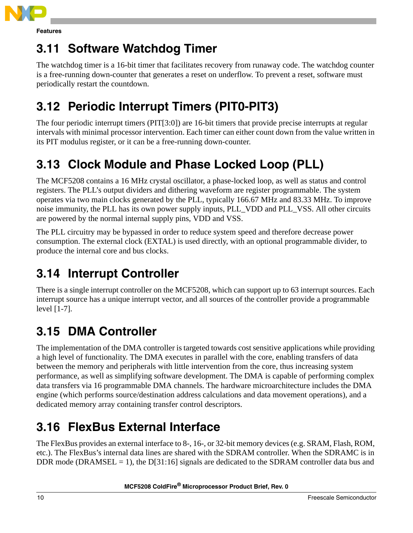

### **3.11 Software Watchdog Timer**

The watchdog timer is a 16-bit timer that facilitates recovery from runaway code. The watchdog counter is a free-running down-counter that generates a reset on underflow. To prevent a reset, software must periodically restart the countdown.

### **3.12 Periodic Interrupt Timers (PIT0-PIT3)**

The four periodic interrupt timers (PIT[3:0]) are 16-bit timers that provide precise interrupts at regular intervals with minimal processor intervention. Each timer can either count down from the value written in its PIT modulus register, or it can be a free-running down-counter.

### **3.13 Clock Module and Phase Locked Loop (PLL)**

The MCF5208 contains a 16 MHz crystal oscillator, a phase-locked loop, as well as status and control registers. The PLL's output dividers and dithering waveform are register programmable. The system operates via two main clocks generated by the PLL, typically 166.67 MHz and 83.33 MHz. To improve noise immunity, the PLL has its own power supply inputs, PLL\_VDD and PLL\_VSS. All other circuits are powered by the normal internal supply pins, VDD and VSS.

The PLL circuitry may be bypassed in order to reduce system speed and therefore decrease power consumption. The external clock (EXTAL) is used directly, with an optional programmable divider, to produce the internal core and bus clocks.

### **3.14 Interrupt Controller**

There is a single interrupt controller on the MCF5208, which can support up to 63 interrupt sources. Each interrupt source has a unique interrupt vector, and all sources of the controller provide a programmable level [1-7].

### **3.15 DMA Controller**

The implementation of the DMA controller is targeted towards cost sensitive applications while providing a high level of functionality. The DMA executes in parallel with the core, enabling transfers of data between the memory and peripherals with little intervention from the core, thus increasing system performance, as well as simplifying software development. The DMA is capable of performing complex data transfers via 16 programmable DMA channels. The hardware microarchitecture includes the DMA engine (which performs source/destination address calculations and data movement operations), and a dedicated memory array containing transfer control descriptors.

### **3.16 FlexBus External Interface**

The FlexBus provides an external interface to 8-, 16-, or 32-bit memory devices (e.g. SRAM, Flash, ROM, etc.). The FlexBus's internal data lines are shared with the SDRAM controller. When the SDRAMC is in DDR mode (DRAMSEL = 1), the D[31:16] signals are dedicated to the SDRAM controller data bus and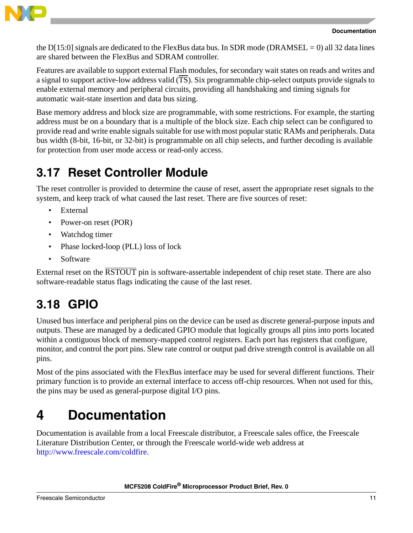

the D[15:0] signals are dedicated to the FlexBus data bus. In SDR mode (DRAMSEL = 0) all 32 data lines are shared between the FlexBus and SDRAM controller.

Features are available to support external Flash modules, for secondary wait states on reads and writes and a signal to support active-low address valid  $(\overline{TS})$ . Six programmable chip-select outputs provide signals to enable external memory and peripheral circuits, providing all handshaking and timing signals for automatic wait-state insertion and data bus sizing.

Base memory address and block size are programmable, with some restrictions. For example, the starting address must be on a boundary that is a multiple of the block size. Each chip select can be configured to provide read and write enable signals suitable for use with most popular static RAMs and peripherals. Data bus width (8-bit, 16-bit, or 32-bit) is programmable on all chip selects, and further decoding is available for protection from user mode access or read-only access.

#### **3.17 Reset Controller Module**

The reset controller is provided to determine the cause of reset, assert the appropriate reset signals to the system, and keep track of what caused the last reset. There are five sources of reset:

- **External**
- Power-on reset (POR)
- Watchdog timer
- Phase locked-loop (PLL) loss of lock
- **Software**

External reset on the RSTOUT pin is software-assertable independent of chip reset state. There are also software-readable status flags indicating the cause of the last reset.

#### **3.18 GPIO**

Unused bus interface and peripheral pins on the device can be used as discrete general-purpose inputs and outputs. These are managed by a dedicated GPIO module that logically groups all pins into ports located within a contiguous block of memory-mapped control registers. Each port has registers that configure, monitor, and control the port pins. Slew rate control or output pad drive strength control is available on all pins.

Most of the pins associated with the FlexBus interface may be used for several different functions. Their primary function is to provide an external interface to access off-chip resources. When not used for this, the pins may be used as general-purpose digital I/O pins.

### <span id="page-10-0"></span>**4 Documentation**

Documentation is available from a local Freescale distributor, a Freescale sales office, the Freescale Literature Distribution Center, or through the Freescale world-wide web address at [http://www.freescale.com](http://www.freescale.com/coldfire)/coldfire.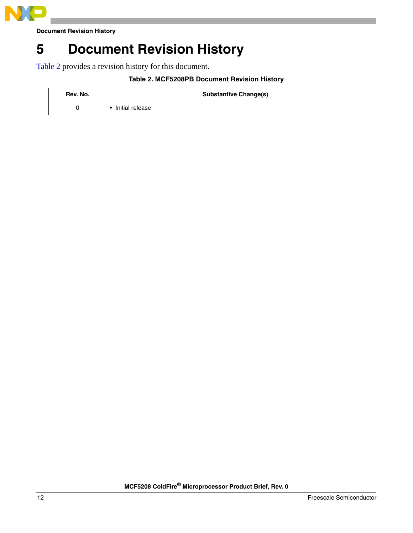

**Document Revision History**

### <span id="page-11-0"></span>**5 Document Revision History**

<span id="page-11-1"></span>[Table 2](#page-11-1) provides a revision history for this document.

#### **Table 2. MCF5208PB Document Revision History**

| Rev. No. | <b>Substantive Change(s)</b> |
|----------|------------------------------|
|          | Initial release              |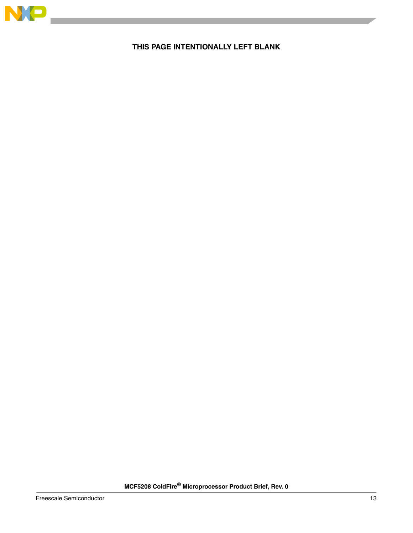

 $\overline{\phantom{a}}$ 

#### **THIS PAGE INTENTIONALLY LEFT BLANK**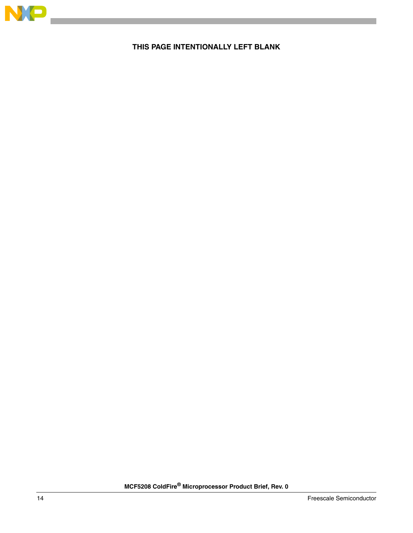

<u>in the contract of the contract of the contract of the contract of the contract of the contract of the contract of the contract of the contract of the contract of the contract of the contract of the contract of the contra</u>

#### **THIS PAGE INTENTIONALLY LEFT BLANK**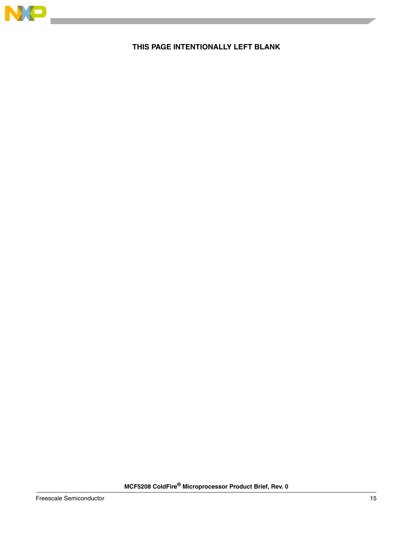

 $\overline{\phantom{a}}$ 

#### **THIS PAGE INTENTIONALLY LEFT BLANK**